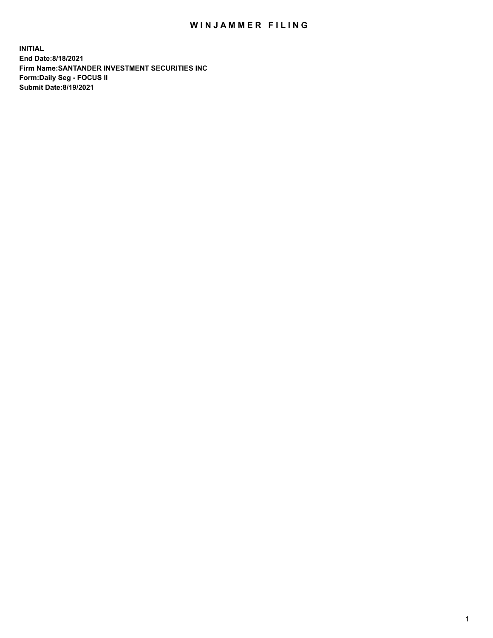## WIN JAMMER FILING

**INITIAL End Date:8/18/2021 Firm Name:SANTANDER INVESTMENT SECURITIES INC Form:Daily Seg - FOCUS II Submit Date:8/19/2021**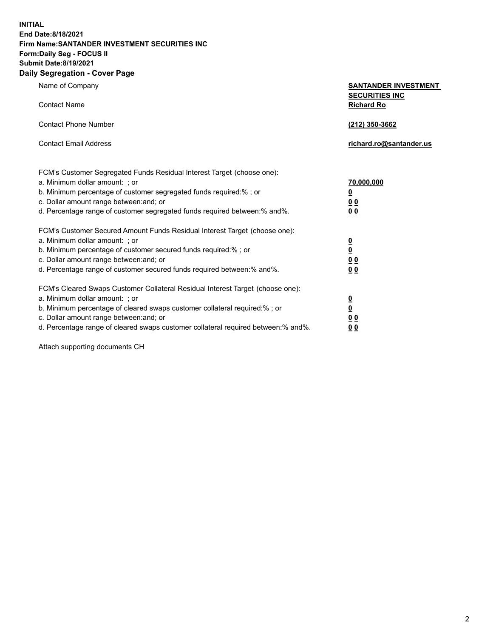**INITIAL End Date:8/18/2021 Firm Name:SANTANDER INVESTMENT SECURITIES INC Form:Daily Seg - FOCUS II Submit Date:8/19/2021 Daily Segregation - Cover Page**

| $0091090001 - 00101 + 090$                                                        |                                            |
|-----------------------------------------------------------------------------------|--------------------------------------------|
| Name of Company                                                                   | <b>SANTANDER INVESTMENT</b>                |
| <b>Contact Name</b>                                                               | <b>SECURITIES INC</b><br><b>Richard Ro</b> |
| <b>Contact Phone Number</b>                                                       | (212) 350-3662                             |
| <b>Contact Email Address</b>                                                      | richard.ro@santander.us                    |
| FCM's Customer Segregated Funds Residual Interest Target (choose one):            |                                            |
| a. Minimum dollar amount: ; or                                                    | 70,000,000                                 |
| b. Minimum percentage of customer segregated funds required:%; or                 | $\overline{\mathbf{0}}$                    |
| c. Dollar amount range between: and; or                                           | 0 <sub>0</sub>                             |
| d. Percentage range of customer segregated funds required between: % and %.       | 0 <sub>0</sub>                             |
| FCM's Customer Secured Amount Funds Residual Interest Target (choose one):        |                                            |
| a. Minimum dollar amount: ; or                                                    | $\overline{\mathbf{0}}$                    |
| b. Minimum percentage of customer secured funds required:%; or                    | $\underline{\mathbf{0}}$                   |
| c. Dollar amount range between: and; or                                           | 0 <sub>0</sub>                             |
| d. Percentage range of customer secured funds required between: % and %.          | 0 <sub>0</sub>                             |
| FCM's Cleared Swaps Customer Collateral Residual Interest Target (choose one):    |                                            |
| a. Minimum dollar amount: ; or                                                    | $\overline{\mathbf{0}}$                    |
| b. Minimum percentage of cleared swaps customer collateral required:%; or         | $\underline{\mathbf{0}}$                   |
| c. Dollar amount range between: and; or                                           | 0 <sub>0</sub>                             |
| d. Percentage range of cleared swaps customer collateral required between:% and%. | 00                                         |

Attach supporting documents CH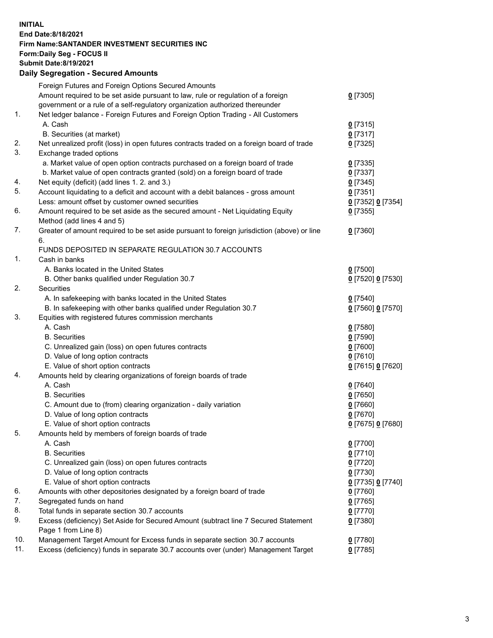**INITIAL End Date:8/18/2021 Firm Name:SANTANDER INVESTMENT SECURITIES INC Form:Daily Seg - FOCUS II Submit Date:8/19/2021 Daily Segregation - Secured Amounts**

|     | Foreign Futures and Foreign Options Secured Amounts                                         |                   |
|-----|---------------------------------------------------------------------------------------------|-------------------|
|     | Amount required to be set aside pursuant to law, rule or regulation of a foreign            | $0$ [7305]        |
|     | government or a rule of a self-regulatory organization authorized thereunder                |                   |
| 1.  | Net ledger balance - Foreign Futures and Foreign Option Trading - All Customers             |                   |
|     | A. Cash                                                                                     | $0$ [7315]        |
|     | B. Securities (at market)                                                                   | $0$ [7317]        |
| 2.  | Net unrealized profit (loss) in open futures contracts traded on a foreign board of trade   | $0$ [7325]        |
| 3.  | Exchange traded options                                                                     |                   |
|     | a. Market value of open option contracts purchased on a foreign board of trade              | $0$ [7335]        |
|     | b. Market value of open contracts granted (sold) on a foreign board of trade                | $0$ [7337]        |
| 4.  | Net equity (deficit) (add lines 1. 2. and 3.)                                               | $0$ [7345]        |
| 5.  | Account liquidating to a deficit and account with a debit balances - gross amount           | $0$ [7351]        |
|     | Less: amount offset by customer owned securities                                            | 0 [7352] 0 [7354] |
| 6.  | Amount required to be set aside as the secured amount - Net Liquidating Equity              | $0$ [7355]        |
|     | Method (add lines 4 and 5)                                                                  |                   |
| 7.  | Greater of amount required to be set aside pursuant to foreign jurisdiction (above) or line | $0$ [7360]        |
|     | 6.                                                                                          |                   |
|     | FUNDS DEPOSITED IN SEPARATE REGULATION 30.7 ACCOUNTS                                        |                   |
| 1.  | Cash in banks                                                                               |                   |
|     | A. Banks located in the United States                                                       | $0$ [7500]        |
|     | B. Other banks qualified under Regulation 30.7                                              | 0 [7520] 0 [7530] |
| 2.  | <b>Securities</b>                                                                           |                   |
|     | A. In safekeeping with banks located in the United States                                   | $0$ [7540]        |
|     | B. In safekeeping with other banks qualified under Regulation 30.7                          | 0 [7560] 0 [7570] |
| 3.  | Equities with registered futures commission merchants                                       |                   |
|     | A. Cash                                                                                     | $0$ [7580]        |
|     | <b>B.</b> Securities                                                                        | $0$ [7590]        |
|     | C. Unrealized gain (loss) on open futures contracts                                         | $0$ [7600]        |
|     | D. Value of long option contracts                                                           | $0$ [7610]        |
|     | E. Value of short option contracts                                                          | 0 [7615] 0 [7620] |
| 4.  | Amounts held by clearing organizations of foreign boards of trade                           |                   |
|     | A. Cash                                                                                     | $0$ [7640]        |
|     | <b>B.</b> Securities                                                                        | $0$ [7650]        |
|     | C. Amount due to (from) clearing organization - daily variation                             | $0$ [7660]        |
|     | D. Value of long option contracts                                                           | $0$ [7670]        |
|     | E. Value of short option contracts                                                          | 0 [7675] 0 [7680] |
| 5.  | Amounts held by members of foreign boards of trade                                          |                   |
|     | A. Cash                                                                                     | 0 [7700]          |
|     | <b>B.</b> Securities                                                                        | $0$ [7710]        |
|     | C. Unrealized gain (loss) on open futures contracts                                         | $0$ [7720]        |
|     | D. Value of long option contracts                                                           | $0$ [7730]        |
|     | E. Value of short option contracts                                                          | 0 [7735] 0 [7740] |
| 6.  | Amounts with other depositories designated by a foreign board of trade                      | $0$ [7760]        |
| 7.  | Segregated funds on hand                                                                    | $0$ [7765]        |
| 8.  | Total funds in separate section 30.7 accounts                                               | $0$ [7770]        |
| 9.  | Excess (deficiency) Set Aside for Secured Amount (subtract line 7 Secured Statement         | $0$ [7380]        |
|     | Page 1 from Line 8)                                                                         |                   |
| 10. | Management Target Amount for Excess funds in separate section 30.7 accounts                 | $0$ [7780]        |
| 11. | Excess (deficiency) funds in separate 30.7 accounts over (under) Management Target          | $0$ [7785]        |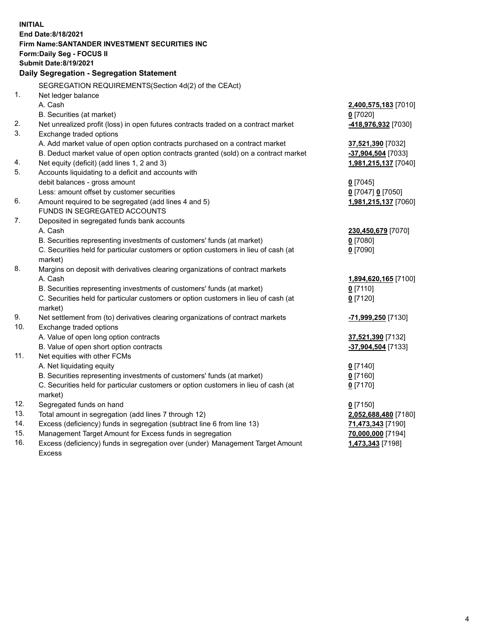| End Date:8/18/2021<br>Firm Name: SANTANDER INVESTMENT SECURITIES INC<br><b>Form:Daily Seg - FOCUS II</b><br><b>Submit Date:8/19/2021</b><br>Daily Segregation - Segregation Statement<br>SEGREGATION REQUIREMENTS(Section 4d(2) of the CEAct)<br>1.<br>Net ledger balance<br>A. Cash<br>2,400,575,183 [7010]<br>B. Securities (at market)<br>$0$ [7020]<br>2.<br>Net unrealized profit (loss) in open futures contracts traded on a contract market<br>418,976,932 [7030] |  |
|---------------------------------------------------------------------------------------------------------------------------------------------------------------------------------------------------------------------------------------------------------------------------------------------------------------------------------------------------------------------------------------------------------------------------------------------------------------------------|--|
|                                                                                                                                                                                                                                                                                                                                                                                                                                                                           |  |
|                                                                                                                                                                                                                                                                                                                                                                                                                                                                           |  |
|                                                                                                                                                                                                                                                                                                                                                                                                                                                                           |  |
|                                                                                                                                                                                                                                                                                                                                                                                                                                                                           |  |
|                                                                                                                                                                                                                                                                                                                                                                                                                                                                           |  |
|                                                                                                                                                                                                                                                                                                                                                                                                                                                                           |  |
|                                                                                                                                                                                                                                                                                                                                                                                                                                                                           |  |
|                                                                                                                                                                                                                                                                                                                                                                                                                                                                           |  |
|                                                                                                                                                                                                                                                                                                                                                                                                                                                                           |  |
|                                                                                                                                                                                                                                                                                                                                                                                                                                                                           |  |
| 3.<br>Exchange traded options                                                                                                                                                                                                                                                                                                                                                                                                                                             |  |
| A. Add market value of open option contracts purchased on a contract market<br>37,521,390 [7032]                                                                                                                                                                                                                                                                                                                                                                          |  |
| B. Deduct market value of open option contracts granted (sold) on a contract market<br>-37,904,504 [7033]                                                                                                                                                                                                                                                                                                                                                                 |  |
| 4.<br>Net equity (deficit) (add lines 1, 2 and 3)<br>1,981,215,137 [7040]<br>5.                                                                                                                                                                                                                                                                                                                                                                                           |  |
| Accounts liquidating to a deficit and accounts with<br>debit balances - gross amount                                                                                                                                                                                                                                                                                                                                                                                      |  |
| $0$ [7045]<br>Less: amount offset by customer securities<br>0 [7047] 0 [7050]                                                                                                                                                                                                                                                                                                                                                                                             |  |
| 6.<br>Amount required to be segregated (add lines 4 and 5)<br>1,981,215,137 [7060]                                                                                                                                                                                                                                                                                                                                                                                        |  |
| FUNDS IN SEGREGATED ACCOUNTS                                                                                                                                                                                                                                                                                                                                                                                                                                              |  |
| 7.<br>Deposited in segregated funds bank accounts                                                                                                                                                                                                                                                                                                                                                                                                                         |  |
| A. Cash<br>230,450,679 [7070]                                                                                                                                                                                                                                                                                                                                                                                                                                             |  |
| B. Securities representing investments of customers' funds (at market)<br>$0$ [7080]                                                                                                                                                                                                                                                                                                                                                                                      |  |
| C. Securities held for particular customers or option customers in lieu of cash (at<br>$0$ [7090]                                                                                                                                                                                                                                                                                                                                                                         |  |
| market)                                                                                                                                                                                                                                                                                                                                                                                                                                                                   |  |
| 8.<br>Margins on deposit with derivatives clearing organizations of contract markets                                                                                                                                                                                                                                                                                                                                                                                      |  |
| A. Cash<br>1,894,620,165 [7100]                                                                                                                                                                                                                                                                                                                                                                                                                                           |  |
| B. Securities representing investments of customers' funds (at market)<br>$0$ [7110]                                                                                                                                                                                                                                                                                                                                                                                      |  |
| C. Securities held for particular customers or option customers in lieu of cash (at<br>$0$ [7120]                                                                                                                                                                                                                                                                                                                                                                         |  |
| market)                                                                                                                                                                                                                                                                                                                                                                                                                                                                   |  |
| 9.<br>Net settlement from (to) derivatives clearing organizations of contract markets<br>-71,999,250 [7130]                                                                                                                                                                                                                                                                                                                                                               |  |
| 10.<br>Exchange traded options                                                                                                                                                                                                                                                                                                                                                                                                                                            |  |
| A. Value of open long option contracts<br>37,521,390 [7132]                                                                                                                                                                                                                                                                                                                                                                                                               |  |
| B. Value of open short option contracts<br>-37,904,504 [7133]                                                                                                                                                                                                                                                                                                                                                                                                             |  |
| 11.<br>Net equities with other FCMs                                                                                                                                                                                                                                                                                                                                                                                                                                       |  |
| A. Net liquidating equity<br>$0$ [7140]                                                                                                                                                                                                                                                                                                                                                                                                                                   |  |
| B. Securities representing investments of customers' funds (at market)<br>$0$ [7160]                                                                                                                                                                                                                                                                                                                                                                                      |  |
| C. Securities held for particular customers or option customers in lieu of cash (at<br>$0$ [7170]                                                                                                                                                                                                                                                                                                                                                                         |  |
| market)                                                                                                                                                                                                                                                                                                                                                                                                                                                                   |  |
| 12.<br>Segregated funds on hand<br>$0$ [7150]                                                                                                                                                                                                                                                                                                                                                                                                                             |  |
| 13.<br>Total amount in segregation (add lines 7 through 12)<br>2,052,688,480 [7180]<br>14.                                                                                                                                                                                                                                                                                                                                                                                |  |
| Excess (deficiency) funds in segregation (subtract line 6 from line 13)<br>71,473,343 [7190]<br>15.                                                                                                                                                                                                                                                                                                                                                                       |  |
| Management Target Amount for Excess funds in segregation<br>70,000,000 [7194]<br>16.<br>Excess (deficiency) funds in segregation over (under) Management Target Amount<br>1,473,343 [7198]                                                                                                                                                                                                                                                                                |  |
| Excess                                                                                                                                                                                                                                                                                                                                                                                                                                                                    |  |